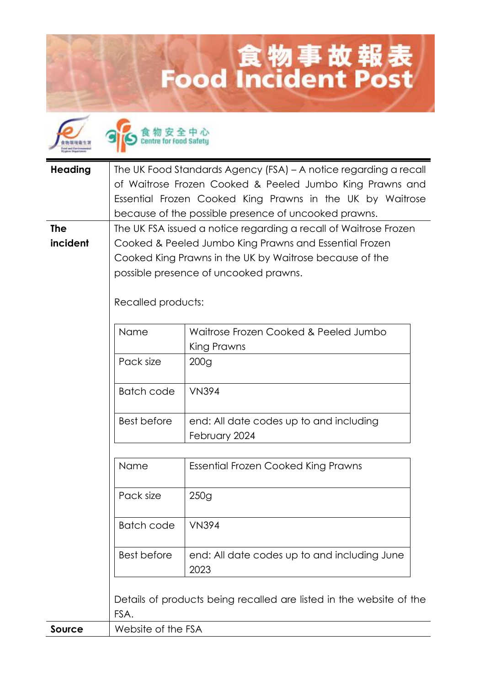## **Lood Incident Post**



食物安全中心

| <b>Heading</b> | The UK Food Standards Agency (FSA) - A notice regarding a recall            |                                                           |  |
|----------------|-----------------------------------------------------------------------------|-----------------------------------------------------------|--|
|                | of Waitrose Frozen Cooked & Peeled Jumbo King Prawns and                    |                                                           |  |
|                |                                                                             | Essential Frozen Cooked King Prawns in the UK by Waitrose |  |
|                |                                                                             | because of the possible presence of uncooked prawns.      |  |
| <b>The</b>     | The UK FSA issued a notice regarding a recall of Waitrose Frozen            |                                                           |  |
| incident       | Cooked & Peeled Jumbo King Prawns and Essential Frozen                      |                                                           |  |
|                | Cooked King Prawns in the UK by Waitrose because of the                     |                                                           |  |
|                | possible presence of uncooked prawns.                                       |                                                           |  |
|                |                                                                             |                                                           |  |
|                | Recalled products:                                                          |                                                           |  |
|                |                                                                             |                                                           |  |
|                | Name                                                                        | Waitrose Frozen Cooked & Peeled Jumbo                     |  |
|                |                                                                             | King Prawns                                               |  |
|                | Pack size                                                                   | 200 <sub>g</sub>                                          |  |
|                | <b>Batch code</b>                                                           | <b>VN394</b>                                              |  |
|                | Best before                                                                 |                                                           |  |
|                |                                                                             | end: All date codes up to and including<br>February 2024  |  |
|                |                                                                             |                                                           |  |
|                | Name                                                                        | Essential Frozen Cooked King Prawns                       |  |
|                |                                                                             |                                                           |  |
|                | Pack size                                                                   | 250g                                                      |  |
|                |                                                                             |                                                           |  |
|                | <b>Batch code</b>                                                           | <b>VN394</b>                                              |  |
|                | <b>Best before</b>                                                          | end: All date codes up to and including June              |  |
|                |                                                                             | 2023                                                      |  |
|                |                                                                             |                                                           |  |
|                | Details of products being recalled are listed in the website of the<br>FSA. |                                                           |  |
|                |                                                                             |                                                           |  |
| <b>Source</b>  | Website of the FSA                                                          |                                                           |  |